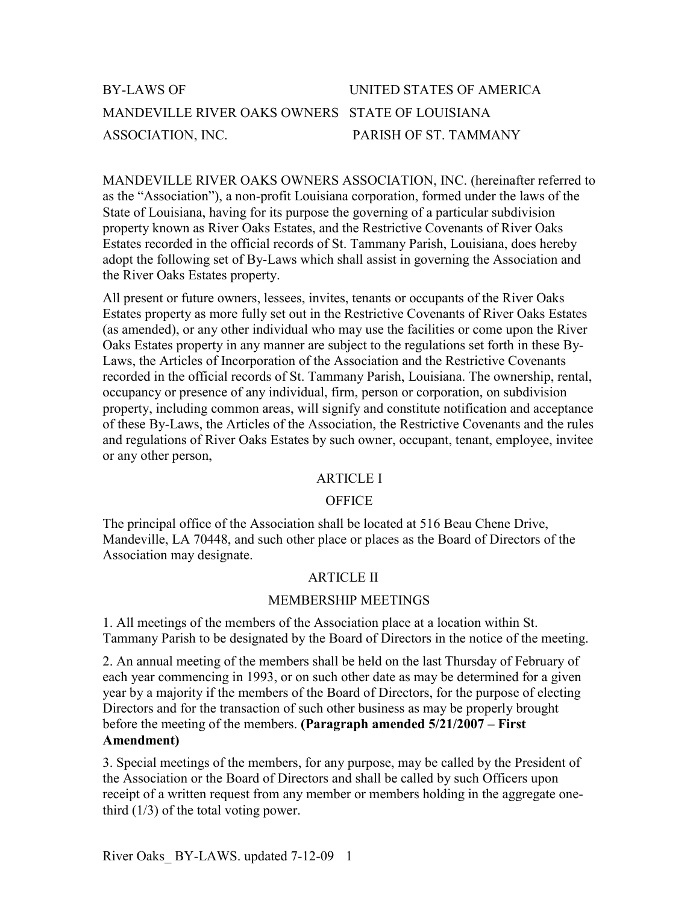| BY-LAWS OF                                      | UNITED STATES OF AMERICA |
|-------------------------------------------------|--------------------------|
| MANDEVILLE RIVER OAKS OWNERS STATE OF LOUISIANA |                          |
| ASSOCIATION, INC.                               | PARISH OF ST. TAMMANY    |

MANDEVILLE RIVER OAKS OWNERS ASSOCIATION, INC. (hereinafter referred to as the "Association"), a non-profit Louisiana corporation, formed under the laws of the State of Louisiana, having for its purpose the governing of a particular subdivision property known as River Oaks Estates, and the Restrictive Covenants of River Oaks Estates recorded in the official records of St. Tammany Parish, Louisiana, does hereby adopt the following set of By-Laws which shall assist in governing the Association and the River Oaks Estates property.

All present or future owners, lessees, invites, tenants or occupants of the River Oaks Estates property as more fully set out in the Restrictive Covenants of River Oaks Estates (as amended), or any other individual who may use the facilities or come upon the River Oaks Estates property in any manner are subject to the regulations set forth in these By-Laws, the Articles of Incorporation of the Association and the Restrictive Covenants recorded in the official records of St. Tammany Parish, Louisiana. The ownership, rental, occupancy or presence of any individual, firm, person or corporation, on subdivision property, including common areas, will signify and constitute notification and acceptance of these By-Laws, the Articles of the Association, the Restrictive Covenants and the rules and regulations of River Oaks Estates by such owner, occupant, tenant, employee, invitee or any other person,

### ARTICLE I

#### **OFFICE**

The principal office of the Association shall be located at 516 Beau Chene Drive, Mandeville, LA 70448, and such other place or places as the Board of Directors of the Association may designate.

### ARTICLE II

#### MEMBERSHIP MEETINGS

1. All meetings of the members of the Association place at a location within St. Tammany Parish to be designated by the Board of Directors in the notice of the meeting.

2. An annual meeting of the members shall be held on the last Thursday of February of each year commencing in 1993, or on such other date as may be determined for a given year by a majority if the members of the Board of Directors, for the purpose of electing Directors and for the transaction of such other business as may be properly brought before the meeting of the members. (Paragraph amended 5/21/2007 – First Amendment)

3. Special meetings of the members, for any purpose, may be called by the President of the Association or the Board of Directors and shall be called by such Officers upon receipt of a written request from any member or members holding in the aggregate onethird (1/3) of the total voting power.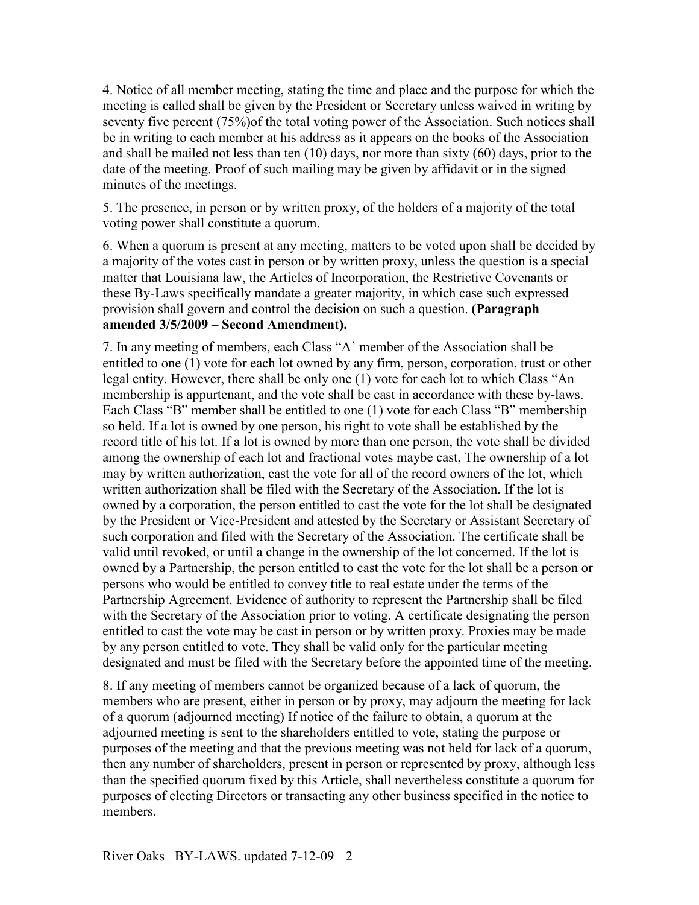4. Notice of all member meeting, stating the time and place and the purpose for which the meeting is called shall be given by the President or Secretary unless waived in writing by seventy five percent (75%) of the total voting power of the Association. Such notices shall be in writing to each member at his address as it appears on the books of the Association and shall be mailed not less than ten (10) days, nor more than sixty (60) days, prior to the date of the meeting. Proof of such mailing may be given by affidavit or in the signed minutes of the meetings.

5. The presence, in person or by written proxy, of the holders of a majority of the total voting power shall constitute a quorum.

6. When a quorum is present at any meeting, matters to be voted upon shall be decided by a majority of the votes cast in person or by written proxy, unless the question is a special matter that Louisiana law, the Articles of Incorporation, the Restrictive Covenants or these By-Laws specifically mandate a greater majority, in which case such expressed provision shall govern and control the decision on such a question. (Paragraph amended 3/5/2009 – Second Amendment).

7. In any meeting of members, each Class "A' member of the Association shall be entitled to one (1) vote for each lot owned by any firm, person, corporation, trust or other legal entity. However, there shall be only one (1) vote for each lot to which Class "An membership is appurtenant, and the vote shall be cast in accordance with these by-laws. Each Class "B" member shall be entitled to one (1) vote for each Class "B" membership so held. If a lot is owned by one person, his right to vote shall be established by the record title of his lot. If a lot is owned by more than one person, the vote shall be divided among the ownership of each lot and fractional votes maybe cast, The ownership of a lot may by written authorization, cast the vote for all of the record owners of the lot, which written authorization shall be filed with the Secretary of the Association. If the lot is owned by a corporation, the person entitled to cast the vote for the lot shall be designated by the President or Vice-President and attested by the Secretary or Assistant Secretary of such corporation and filed with the Secretary of the Association. The certificate shall be valid until revoked, or until a change in the ownership of the lot concerned. If the lot is owned by a Partnership, the person entitled to cast the vote for the lot shall be a person or persons who would be entitled to convey title to real estate under the terms of the Partnership Agreement. Evidence of authority to represent the Partnership shall be filed with the Secretary of the Association prior to voting. A certificate designating the person entitled to cast the vote may be cast in person or by written proxy. Proxies may be made by any person entitled to vote. They shall be valid only for the particular meeting designated and must be filed with the Secretary before the appointed time of the meeting.

8. If any meeting of members cannot be organized because of a lack of quorum, the members who are present, either in person or by proxy, may adjourn the meeting for lack of a quorum (adjourned meeting) If notice of the failure to obtain, a quorum at the adjourned meeting is sent to the shareholders entitled to vote, stating the purpose or purposes of the meeting and that the previous meeting was not held for lack of a quorum, then any number of shareholders, present in person or represented by proxy, although less than the specified quorum fixed by this Article, shall nevertheless constitute a quorum for purposes of electing Directors or transacting any other business specified in the notice to members.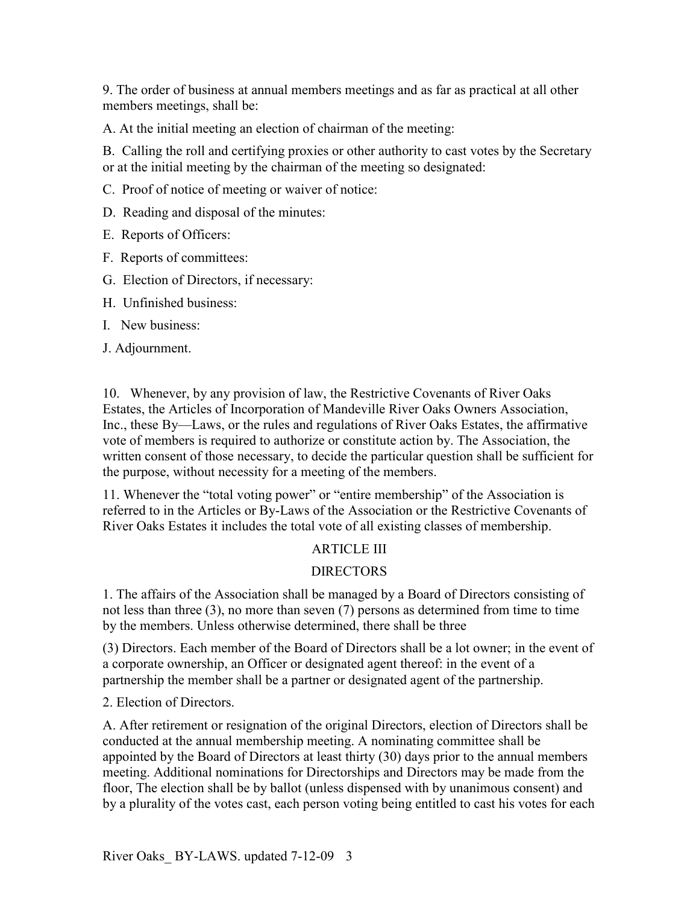9. The order of business at annual members meetings and as far as practical at all other members meetings, shall be:

A. At the initial meeting an election of chairman of the meeting:

B. Calling the roll and certifying proxies or other authority to cast votes by the Secretary or at the initial meeting by the chairman of the meeting so designated:

C. Proof of notice of meeting or waiver of notice:

D. Reading and disposal of the minutes:

E. Reports of Officers:

F. Reports of committees:

- G. Election of Directors, if necessary:
- H. Unfinished business:
- I. New business:

J. Adjournment.

10. Whenever, by any provision of law, the Restrictive Covenants of River Oaks Estates, the Articles of Incorporation of Mandeville River Oaks Owners Association, Inc., these By—Laws, or the rules and regulations of River Oaks Estates, the affirmative vote of members is required to authorize or constitute action by. The Association, the written consent of those necessary, to decide the particular question shall be sufficient for the purpose, without necessity for a meeting of the members.

11. Whenever the "total voting power" or "entire membership" of the Association is referred to in the Articles or By-Laws of the Association or the Restrictive Covenants of River Oaks Estates it includes the total vote of all existing classes of membership.

# ARTICLE III

# DIRECTORS

1. The affairs of the Association shall be managed by a Board of Directors consisting of not less than three (3), no more than seven (7) persons as determined from time to time by the members. Unless otherwise determined, there shall be three

(3) Directors. Each member of the Board of Directors shall be a lot owner; in the event of a corporate ownership, an Officer or designated agent thereof: in the event of a partnership the member shall be a partner or designated agent of the partnership.

2. Election of Directors.

A. After retirement or resignation of the original Directors, election of Directors shall be conducted at the annual membership meeting. A nominating committee shall be appointed by the Board of Directors at least thirty (30) days prior to the annual members meeting. Additional nominations for Directorships and Directors may be made from the floor, The election shall be by ballot (unless dispensed with by unanimous consent) and by a plurality of the votes cast, each person voting being entitled to cast his votes for each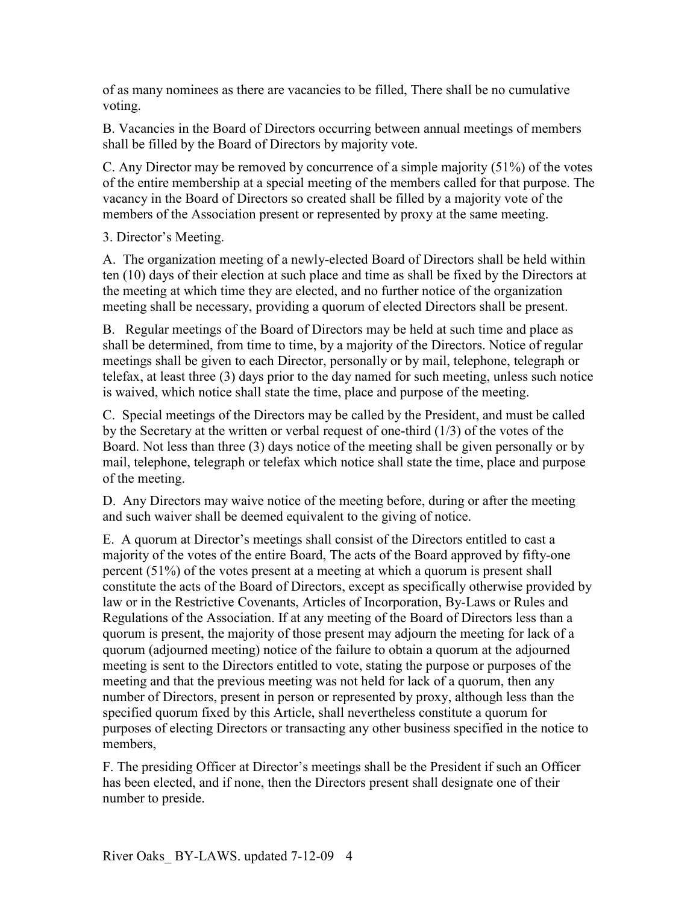of as many nominees as there are vacancies to be filled, There shall be no cumulative voting.

B. Vacancies in the Board of Directors occurring between annual meetings of members shall be filled by the Board of Directors by majority vote.

C. Any Director may be removed by concurrence of a simple majority (51%) of the votes of the entire membership at a special meeting of the members called for that purpose. The vacancy in the Board of Directors so created shall be filled by a majority vote of the members of the Association present or represented by proxy at the same meeting.

3. Director's Meeting.

A. The organization meeting of a newly-elected Board of Directors shall be held within ten (10) days of their election at such place and time as shall be fixed by the Directors at the meeting at which time they are elected, and no further notice of the organization meeting shall be necessary, providing a quorum of elected Directors shall be present.

B. Regular meetings of the Board of Directors may be held at such time and place as shall be determined, from time to time, by a majority of the Directors. Notice of regular meetings shall be given to each Director, personally or by mail, telephone, telegraph or telefax, at least three (3) days prior to the day named for such meeting, unless such notice is waived, which notice shall state the time, place and purpose of the meeting.

C. Special meetings of the Directors may be called by the President, and must be called by the Secretary at the written or verbal request of one-third (1/3) of the votes of the Board. Not less than three (3) days notice of the meeting shall be given personally or by mail, telephone, telegraph or telefax which notice shall state the time, place and purpose of the meeting.

D. Any Directors may waive notice of the meeting before, during or after the meeting and such waiver shall be deemed equivalent to the giving of notice.

E. A quorum at Director's meetings shall consist of the Directors entitled to cast a majority of the votes of the entire Board, The acts of the Board approved by fifty-one percent (51%) of the votes present at a meeting at which a quorum is present shall constitute the acts of the Board of Directors, except as specifically otherwise provided by law or in the Restrictive Covenants, Articles of Incorporation, By-Laws or Rules and Regulations of the Association. If at any meeting of the Board of Directors less than a quorum is present, the majority of those present may adjourn the meeting for lack of a quorum (adjourned meeting) notice of the failure to obtain a quorum at the adjourned meeting is sent to the Directors entitled to vote, stating the purpose or purposes of the meeting and that the previous meeting was not held for lack of a quorum, then any number of Directors, present in person or represented by proxy, although less than the specified quorum fixed by this Article, shall nevertheless constitute a quorum for purposes of electing Directors or transacting any other business specified in the notice to members,

F. The presiding Officer at Director's meetings shall be the President if such an Officer has been elected, and if none, then the Directors present shall designate one of their number to preside.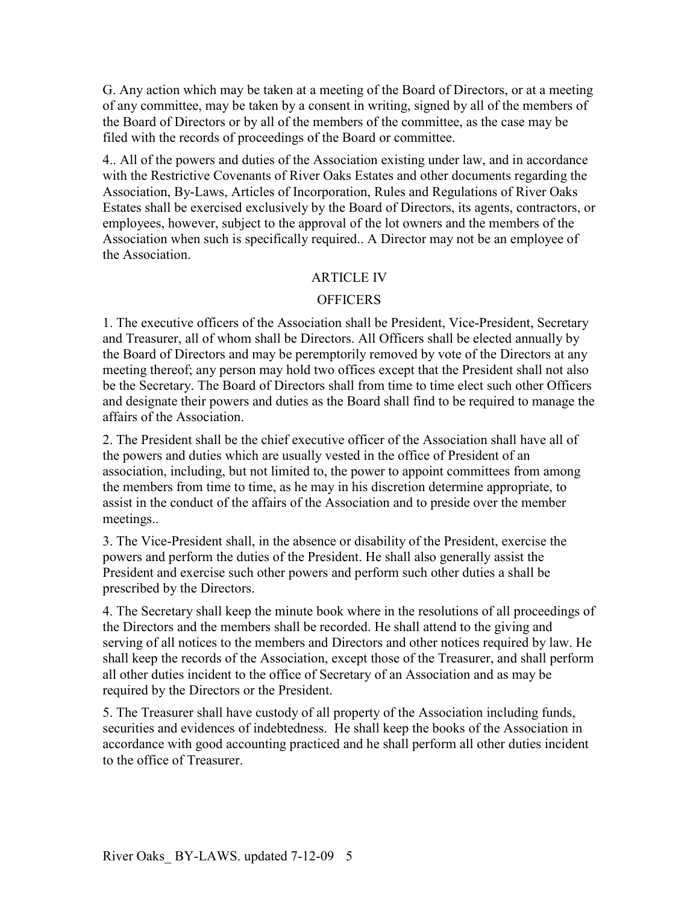G. Any action which may be taken at a meeting of the Board of Directors, or at a meeting of any committee, may be taken by a consent in writing, signed by all of the members of the Board of Directors or by all of the members of the committee, as the case may be filed with the records of proceedings of the Board or committee.

4.. All of the powers and duties of the Association existing under law, and in accordance with the Restrictive Covenants of River Oaks Estates and other documents regarding the Association, By-Laws, Articles of Incorporation, Rules and Regulations of River Oaks Estates shall be exercised exclusively by the Board of Directors, its agents, contractors, or employees, however, subject to the approval of the lot owners and the members of the Association when such is specifically required.. A Director may not be an employee of the Association.

# ARTICLE IV

## **OFFICERS**

1. The executive officers of the Association shall be President, Vice-President, Secretary and Treasurer, all of whom shall be Directors. All Officers shall be elected annually by the Board of Directors and may be peremptorily removed by vote of the Directors at any meeting thereof; any person may hold two offices except that the President shall not also be the Secretary. The Board of Directors shall from time to time elect such other Officers and designate their powers and duties as the Board shall find to be required to manage the affairs of the Association.

2. The President shall be the chief executive officer of the Association shall have all of the powers and duties which are usually vested in the office of President of an association, including, but not limited to, the power to appoint committees from among the members from time to time, as he may in his discretion determine appropriate, to assist in the conduct of the affairs of the Association and to preside over the member meetings..

3. The Vice-President shall, in the absence or disability of the President, exercise the powers and perform the duties of the President. He shall also generally assist the President and exercise such other powers and perform such other duties a shall be prescribed by the Directors.

4. The Secretary shall keep the minute book where in the resolutions of all proceedings of the Directors and the members shall be recorded. He shall attend to the giving and serving of all notices to the members and Directors and other notices required by law. He shall keep the records of the Association, except those of the Treasurer, and shall perform all other duties incident to the office of Secretary of an Association and as may be required by the Directors or the President.

5. The Treasurer shall have custody of all property of the Association including funds, securities and evidences of indebtedness. He shall keep the books of the Association in accordance with good accounting practiced and he shall perform all other duties incident to the office of Treasurer.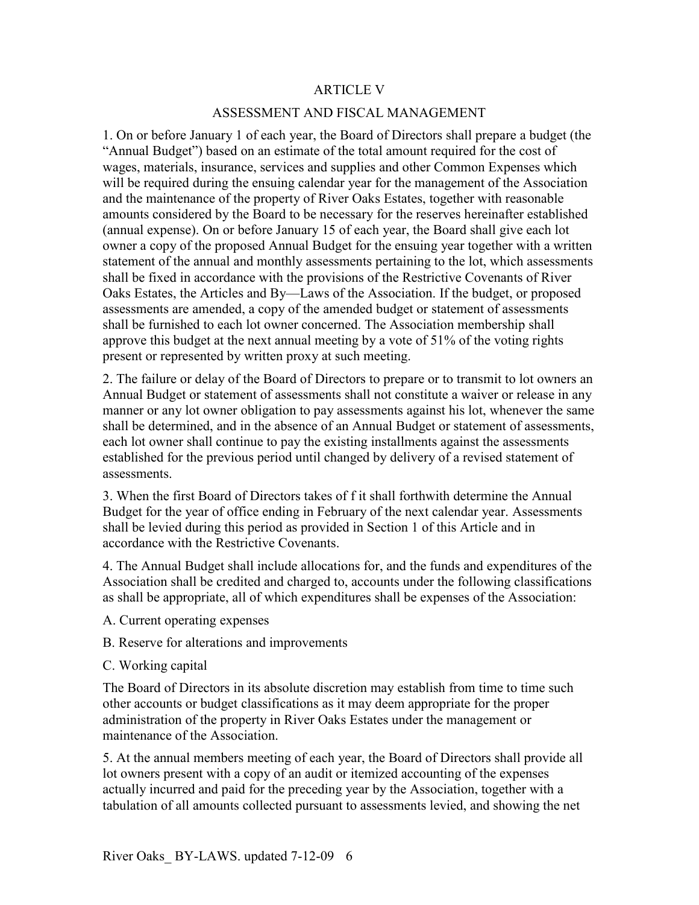### ARTICLE V

## ASSESSMENT AND FISCAL MANAGEMENT

1. On or before January 1 of each year, the Board of Directors shall prepare a budget (the "Annual Budget") based on an estimate of the total amount required for the cost of wages, materials, insurance, services and supplies and other Common Expenses which will be required during the ensuing calendar year for the management of the Association and the maintenance of the property of River Oaks Estates, together with reasonable amounts considered by the Board to be necessary for the reserves hereinafter established (annual expense). On or before January 15 of each year, the Board shall give each lot owner a copy of the proposed Annual Budget for the ensuing year together with a written statement of the annual and monthly assessments pertaining to the lot, which assessments shall be fixed in accordance with the provisions of the Restrictive Covenants of River Oaks Estates, the Articles and By—Laws of the Association. If the budget, or proposed assessments are amended, a copy of the amended budget or statement of assessments shall be furnished to each lot owner concerned. The Association membership shall approve this budget at the next annual meeting by a vote of 51% of the voting rights present or represented by written proxy at such meeting.

2. The failure or delay of the Board of Directors to prepare or to transmit to lot owners an Annual Budget or statement of assessments shall not constitute a waiver or release in any manner or any lot owner obligation to pay assessments against his lot, whenever the same shall be determined, and in the absence of an Annual Budget or statement of assessments, each lot owner shall continue to pay the existing installments against the assessments established for the previous period until changed by delivery of a revised statement of assessments.

3. When the first Board of Directors takes of f it shall forthwith determine the Annual Budget for the year of office ending in February of the next calendar year. Assessments shall be levied during this period as provided in Section 1 of this Article and in accordance with the Restrictive Covenants.

4. The Annual Budget shall include allocations for, and the funds and expenditures of the Association shall be credited and charged to, accounts under the following classifications as shall be appropriate, all of which expenditures shall be expenses of the Association:

- A. Current operating expenses
- B. Reserve for alterations and improvements
- C. Working capital

The Board of Directors in its absolute discretion may establish from time to time such other accounts or budget classifications as it may deem appropriate for the proper administration of the property in River Oaks Estates under the management or maintenance of the Association.

5. At the annual members meeting of each year, the Board of Directors shall provide all lot owners present with a copy of an audit or itemized accounting of the expenses actually incurred and paid for the preceding year by the Association, together with a tabulation of all amounts collected pursuant to assessments levied, and showing the net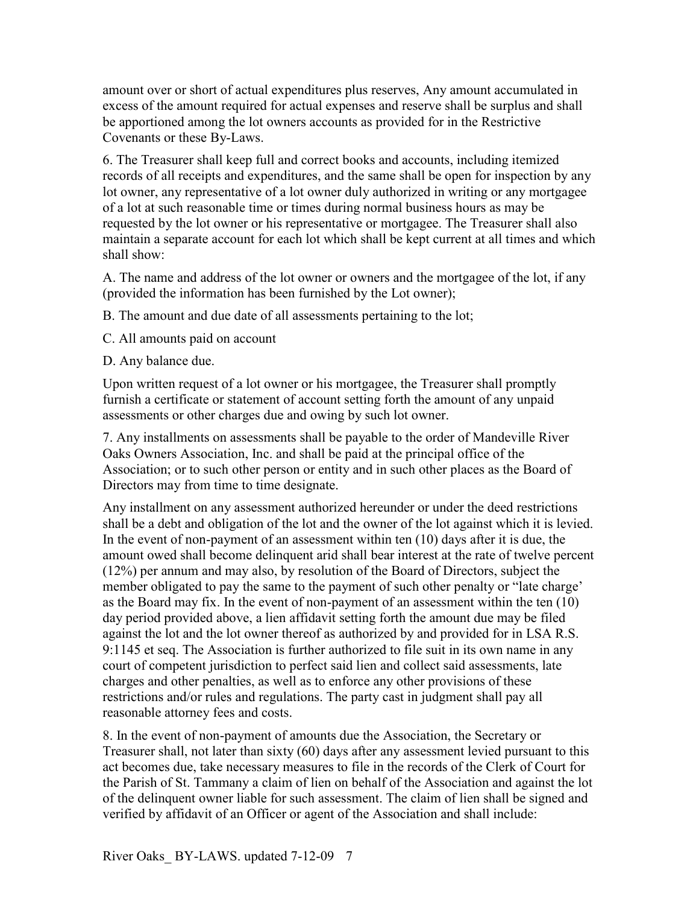amount over or short of actual expenditures plus reserves, Any amount accumulated in excess of the amount required for actual expenses and reserve shall be surplus and shall be apportioned among the lot owners accounts as provided for in the Restrictive Covenants or these By-Laws.

6. The Treasurer shall keep full and correct books and accounts, including itemized records of all receipts and expenditures, and the same shall be open for inspection by any lot owner, any representative of a lot owner duly authorized in writing or any mortgagee of a lot at such reasonable time or times during normal business hours as may be requested by the lot owner or his representative or mortgagee. The Treasurer shall also maintain a separate account for each lot which shall be kept current at all times and which shall show:

A. The name and address of the lot owner or owners and the mortgagee of the lot, if any (provided the information has been furnished by the Lot owner);

B. The amount and due date of all assessments pertaining to the lot;

C. All amounts paid on account

D. Any balance due.

Upon written request of a lot owner or his mortgagee, the Treasurer shall promptly furnish a certificate or statement of account setting forth the amount of any unpaid assessments or other charges due and owing by such lot owner.

7. Any installments on assessments shall be payable to the order of Mandeville River Oaks Owners Association, Inc. and shall be paid at the principal office of the Association; or to such other person or entity and in such other places as the Board of Directors may from time to time designate.

Any installment on any assessment authorized hereunder or under the deed restrictions shall be a debt and obligation of the lot and the owner of the lot against which it is levied. In the event of non-payment of an assessment within ten (10) days after it is due, the amount owed shall become delinquent arid shall bear interest at the rate of twelve percent (12%) per annum and may also, by resolution of the Board of Directors, subject the member obligated to pay the same to the payment of such other penalty or "late charge' as the Board may fix. In the event of non-payment of an assessment within the ten (10) day period provided above, a lien affidavit setting forth the amount due may be filed against the lot and the lot owner thereof as authorized by and provided for in LSA R.S. 9:1145 et seq. The Association is further authorized to file suit in its own name in any court of competent jurisdiction to perfect said lien and collect said assessments, late charges and other penalties, as well as to enforce any other provisions of these restrictions and/or rules and regulations. The party cast in judgment shall pay all reasonable attorney fees and costs.

8. In the event of non-payment of amounts due the Association, the Secretary or Treasurer shall, not later than sixty (60) days after any assessment levied pursuant to this act becomes due, take necessary measures to file in the records of the Clerk of Court for the Parish of St. Tammany a claim of lien on behalf of the Association and against the lot of the delinquent owner liable for such assessment. The claim of lien shall be signed and verified by affidavit of an Officer or agent of the Association and shall include: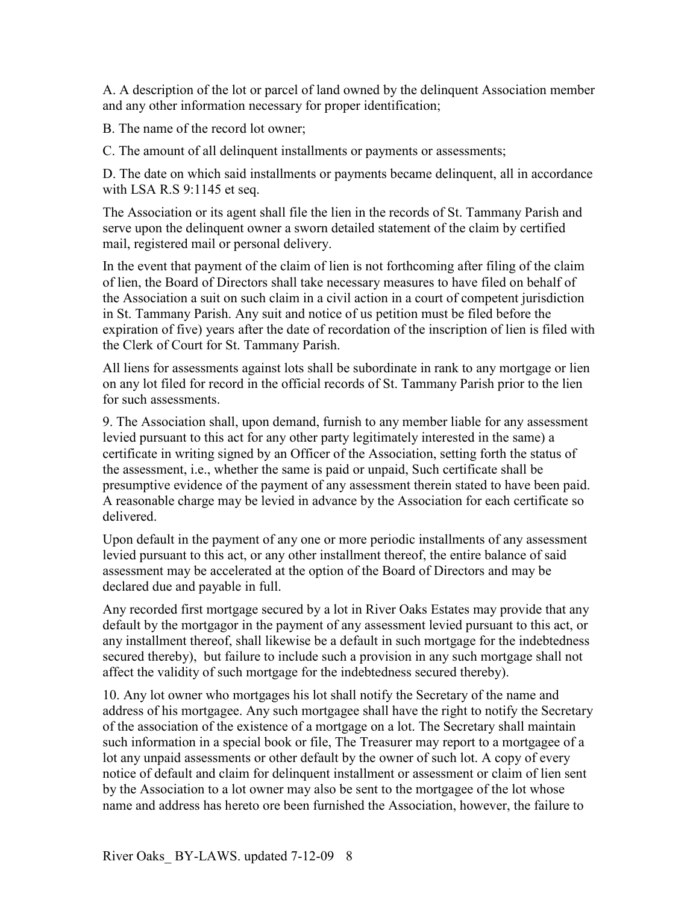A. A description of the lot or parcel of land owned by the delinquent Association member and any other information necessary for proper identification;

B. The name of the record lot owner;

C. The amount of all delinquent installments or payments or assessments;

D. The date on which said installments or payments became delinquent, all in accordance with LSA R.S 9:1145 et seq.

The Association or its agent shall file the lien in the records of St. Tammany Parish and serve upon the delinquent owner a sworn detailed statement of the claim by certified mail, registered mail or personal delivery.

In the event that payment of the claim of lien is not forthcoming after filing of the claim of lien, the Board of Directors shall take necessary measures to have filed on behalf of the Association a suit on such claim in a civil action in a court of competent jurisdiction in St. Tammany Parish. Any suit and notice of us petition must be filed before the expiration of five) years after the date of recordation of the inscription of lien is filed with the Clerk of Court for St. Tammany Parish.

All liens for assessments against lots shall be subordinate in rank to any mortgage or lien on any lot filed for record in the official records of St. Tammany Parish prior to the lien for such assessments.

9. The Association shall, upon demand, furnish to any member liable for any assessment levied pursuant to this act for any other party legitimately interested in the same) a certificate in writing signed by an Officer of the Association, setting forth the status of the assessment, i.e., whether the same is paid or unpaid, Such certificate shall be presumptive evidence of the payment of any assessment therein stated to have been paid. A reasonable charge may be levied in advance by the Association for each certificate so delivered.

Upon default in the payment of any one or more periodic installments of any assessment levied pursuant to this act, or any other installment thereof, the entire balance of said assessment may be accelerated at the option of the Board of Directors and may be declared due and payable in full.

Any recorded first mortgage secured by a lot in River Oaks Estates may provide that any default by the mortgagor in the payment of any assessment levied pursuant to this act, or any installment thereof, shall likewise be a default in such mortgage for the indebtedness secured thereby), but failure to include such a provision in any such mortgage shall not affect the validity of such mortgage for the indebtedness secured thereby).

10. Any lot owner who mortgages his lot shall notify the Secretary of the name and address of his mortgagee. Any such mortgagee shall have the right to notify the Secretary of the association of the existence of a mortgage on a lot. The Secretary shall maintain such information in a special book or file, The Treasurer may report to a mortgagee of a lot any unpaid assessments or other default by the owner of such lot. A copy of every notice of default and claim for delinquent installment or assessment or claim of lien sent by the Association to a lot owner may also be sent to the mortgagee of the lot whose name and address has hereto ore been furnished the Association, however, the failure to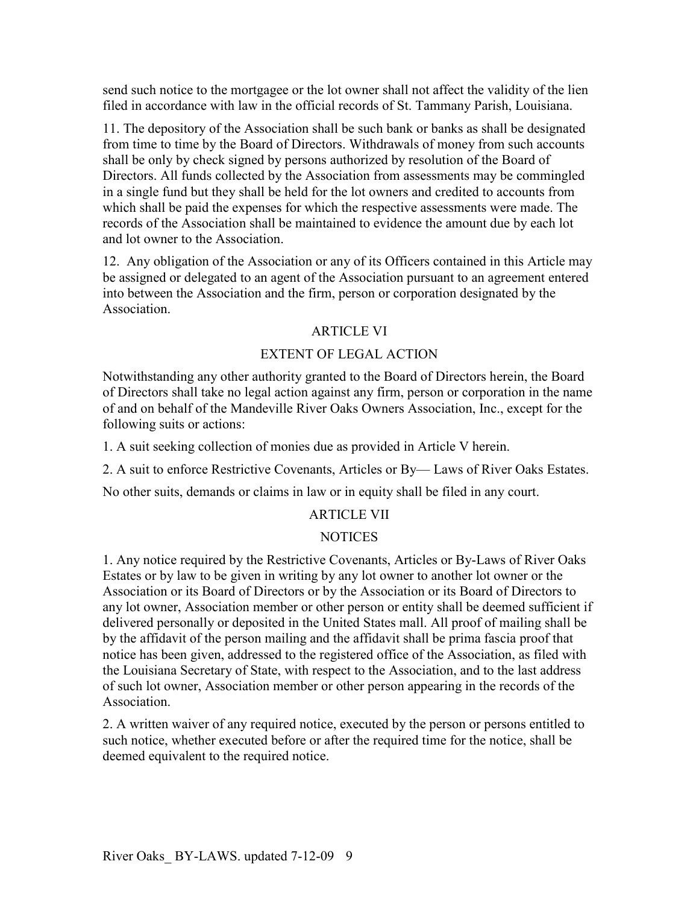send such notice to the mortgagee or the lot owner shall not affect the validity of the lien filed in accordance with law in the official records of St. Tammany Parish, Louisiana.

11. The depository of the Association shall be such bank or banks as shall be designated from time to time by the Board of Directors. Withdrawals of money from such accounts shall be only by check signed by persons authorized by resolution of the Board of Directors. All funds collected by the Association from assessments may be commingled in a single fund but they shall be held for the lot owners and credited to accounts from which shall be paid the expenses for which the respective assessments were made. The records of the Association shall be maintained to evidence the amount due by each lot and lot owner to the Association.

12. Any obligation of the Association or any of its Officers contained in this Article may be assigned or delegated to an agent of the Association pursuant to an agreement entered into between the Association and the firm, person or corporation designated by the Association.

# ARTICLE VI

# EXTENT OF LEGAL ACTION

Notwithstanding any other authority granted to the Board of Directors herein, the Board of Directors shall take no legal action against any firm, person or corporation in the name of and on behalf of the Mandeville River Oaks Owners Association, Inc., except for the following suits or actions:

1. A suit seeking collection of monies due as provided in Article V herein.

2. A suit to enforce Restrictive Covenants, Articles or By— Laws of River Oaks Estates.

No other suits, demands or claims in law or in equity shall be filed in any court.

# ARTICLE VII

# **NOTICES**

1. Any notice required by the Restrictive Covenants, Articles or By-Laws of River Oaks Estates or by law to be given in writing by any lot owner to another lot owner or the Association or its Board of Directors or by the Association or its Board of Directors to any lot owner, Association member or other person or entity shall be deemed sufficient if delivered personally or deposited in the United States mall. All proof of mailing shall be by the affidavit of the person mailing and the affidavit shall be prima fascia proof that notice has been given, addressed to the registered office of the Association, as filed with the Louisiana Secretary of State, with respect to the Association, and to the last address of such lot owner, Association member or other person appearing in the records of the **Association** 

2. A written waiver of any required notice, executed by the person or persons entitled to such notice, whether executed before or after the required time for the notice, shall be deemed equivalent to the required notice.